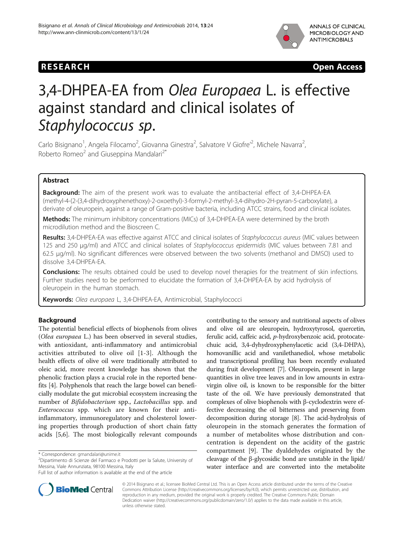

# RESEARCH CHEAR CHEAR CHEAR CHEAR CHEAR CHEAR CHEAR CHEAR CHEAR CHEAP CHEAP CHEAP CHEAP CHEAP CHEAP CHEAP CHEAP

# 3,4-DHPEA-EA from Olea Europaea L. is effective against standard and clinical isolates of Staphylococcus sp.

Carlo Bisignano<sup>1</sup>, Angela Filocamo<sup>2</sup>, Giovanna Ginestra<sup>2</sup>, Salvatore V Giofre'<sup>2</sup>, Michele Navarra<sup>2</sup> , Roberto Romeo<sup>2</sup> and Giuseppina Mandalari<sup>2\*</sup>

# Abstract

**Background:** The aim of the present work was to evaluate the antibacterial effect of 3,4-DHPEA-EA (methyl-4-(2-(3,4-dihydroxyphenethoxy)-2-oxoethyl)-3-formyl-2-methyl-3,4-dihydro-2H-pyran-5-carboxylate), a derivate of oleuropein, against a range of Gram-positive bacteria, including ATCC strains, food and clinical isolates.

**Methods:** The minimum inhibitory concentrations (MICs) of 3,4-DHPEA-EA were determined by the broth microdilution method and the Bioscreen C.

Results: 3,4-DHPEA-EA was effective against ATCC and clinical isolates of Staphylococcus aureus (MIC values between 125 and 250 μg/ml) and ATCC and clinical isolates of Staphylococcus epidermidis (MIC values between 7.81 and 62.5 μg/ml). No significant differences were observed between the two solvents (methanol and DMSO) used to dissolve 3,4-DHPEA-EA.

**Conclusions:** The results obtained could be used to develop novel therapies for the treatment of skin infections. Further studies need to be performed to elucidate the formation of 3,4-DHPEA-EA by acid hydrolysis of oleuropein in the human stomach.

Keywords: Olea europaea L, 3,4-DHPEA-EA, Antimicrobial, Staphylococci

# Background

The potential beneficial effects of biophenols from olives (Olea europaea L.) has been observed in several studies, with antioxidant, anti-inflammatory and antimicrobial activities attributed to olive oil [[1-3\]](#page-3-0). Although the health effects of olive oil were traditionally attributed to oleic acid, more recent knowledge has shown that the phenolic fraction plays a crucial role in the reported benefits [[4\]](#page-3-0). Polyphenols that reach the large bowel can beneficially modulate the gut microbial ecosystem increasing the number of Bifidobacterium spp., Lactobacillus spp. and Enterococcus spp. which are known for their antiinflammatory, immunoregulatory and cholesterol lowering properties through production of short chain fatty acids [\[5,6](#page-3-0)]. The most biologically relevant compounds

<sup>2</sup>Dipartimento di Scienze del Farmaco e Prodotti per la Salute, University of Messina, Viale Annunziata, 98100 Messina, Italy

contributing to the sensory and nutritional aspects of olives and olive oil are oleuropein, hydroxytyrosol, quercetin, ferulic acid, caffeic acid, p-hydroxybenzoic acid, protocatechuic acid, 3,4-dyhydroxyphenylacetic acid (3,4-DHPA), homovanillic acid and vanilethanediol, whose metabolic and transcriptional profiling has been recently evaluated during fruit development [\[7\]](#page-3-0). Oleuropein, present in large quantities in olive tree leaves and in low amounts in extravirgin olive oil, is known to be responsible for the bitter taste of the oil. We have previously demonstrated that complexes of olive biophenols with β-cyclodextrin were effective decreasing the oil bitterness and preserving from decomposition during storage [\[8](#page-3-0)]. The acid-hydrolysis of oleuropein in the stomach generates the formation of a number of metabolites whose distribution and concentration is dependent on the acidity of the gastric compartment [[9\]](#page-3-0). The dyaldehydes originated by the cleavage of the β-glycosidic bond are unstable in the lipid/ water interface and are converted into the metabolite



© 2014 Bisignano et al.; licensee BioMed Central Ltd. This is an Open Access article distributed under the terms of the Creative Commons Attribution License [\(http://creativecommons.org/licenses/by/4.0\)](http://creativecommons.org/licenses/by/4.0), which permits unrestricted use, distribution, and reproduction in any medium, provided the original work is properly credited. The Creative Commons Public Domain Dedication waiver [\(http://creativecommons.org/publicdomain/zero/1.0/](http://creativecommons.org/publicdomain/zero/1.0/)) applies to the data made available in this article, unless otherwise stated.

<sup>\*</sup> Correspondence: [gmandalari@unime.it](mailto:gmandalari@unime.it) <sup>2</sup>

Full list of author information is available at the end of the article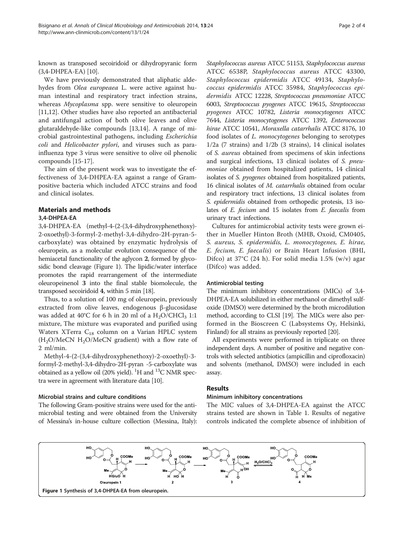known as transposed secoiridoid or dihydropyranic form (3,4-DHPEA-EA) [\[10\]](#page-3-0).

We have previously demonstrated that aliphatic aldehydes from Olea europeaea L. were active against human intestinal and respiratory tract infection strains, whereas Mycoplasma spp. were sensitive to oleuropein [[11,12\]](#page-3-0). Other studies have also reported an antibacterial and antifungal action of both olive leaves and olive glutaraldehyde-like compounds [\[13,14\]](#page-3-0). A range of microbial gastrointestinal pathogens, including Escherichia coli and Helicobacter pylori, and viruses such as parainfluenza type 3 virus were sensitive to olive oil phenolic compounds [\[15-17](#page-3-0)].

The aim of the present work was to investigate the effectiveness of 3,4-DHPEA-EA against a range of Grampositive bacteria which included ATCC strains and food and clinical isolates.

# Materials and methods

### 3,4-DHPEA-EA

3,4-DHPEA-EA (methyl-4-(2-(3,4-dihydroxyphenethoxy)- 2-oxoethyl)-3-formyl-2-methyl-3,4-dihydro-2H-pyran-5 carboxylate) was obtained by enzymatic hydrolysis of oleuropein, as a molecular evolution consequence of the hemiacetal functionality of the aglycon 2, formed by glycosidic bond cleavage (Figure 1). The lipidic/water interface promotes the rapid rearrangement of the intermediate oleuropeinenol 3 into the final stable biomolecule, the transposed secoiridoid 4, within 5 min [[18](#page-3-0)].

Thus, to a solution of 100 mg of oleuropein, previously extracted from olive leaves, endogenous β-glucosidase was added at 40°C for 6 h in 20 ml of a  $H_2O/CHCl_3$  1:1 mixture, The mixture was evaporated and purified using Waters XTerra C<sub>18</sub> column on a Varian HPLC system  $(H<sub>2</sub>O/MeCN H<sub>2</sub>O/MeCN gradient)$  with a flow rate of 2 ml/min.

Methyl-4-(2-(3,4-dihydroxyphenethoxy)-2-oxoethyl)-3 formyl-2-methyl-3,4-dihydro-2H-pyran -5-carboxylate was obtained as a yellow oil (20% yield). <sup>1</sup>H and <sup>13</sup>C NMR spectra were in agreement with literature data [[10](#page-3-0)].

## Microbial strains and culture conditions

The following Gram-positive strains were used for the antimicrobial testing and were obtained from the University of Messina's in-house culture collection (Messina, Italy): Staphylococcus aureus ATCC 51153, Staphylococcus aureus ATCC 6538P, Staphylococcus aureus ATCC 43300, Staphylococcus epidermidis ATCC 49134, Staphylococcus epidermidis ATCC 35984, Staphylococcus epidermidis ATCC 12228, Streptococcus pneumoniae ATCC 6003, Streptococcus pyogenes ATCC 19615, Streptococcus pyogenes ATCC 10782, Listeria monocytogenes ATCC 7644, Listeria monocytogenes ATCC 1392, Enterococcus hirae ATCC 10541, Moraxella catarrhalis ATCC 8176, 10 food isolates of L. monocytogenes belonging to serotypes 1/2a (7 strains) and 1/2b (3 strains), 14 clinical isolates of S. aureus obtained from specimens of skin infections and surgical infections, 13 clinical isolates of S. pneumoniae obtained from hospitalized patients, 14 clinical isolates of S. pyogenes obtained from hospitalized patients, 16 clinical isolates of M. catarrhalis obtained from ocular and respiratory tract infections, 13 clinical isolates from S. epidermidis obtained from orthopedic protesis, 13 isolates of E. fecium and 15 isolates from E. faecalis from urinary tract infections.

Cultures for antimicrobial activity tests were grown either in Mueller Hinton Broth (MHB, Oxoid, CM0405, S. aureus, S. epidermidis, L. monocytogenes, E. hirae, E. fecium, E. faecalis) or Brain Heart Infusion (BHI, Difco) at  $37^{\circ}$ C (24 h). For solid media 1.5% (w/v) agar (Difco) was added.

#### Antimicrobial testing

The minimum inhibitory concentrations (MICs) of 3,4- DHPEA-EA solubilized in either methanol or dimethyl sulfoxide (DMSO) were determined by the broth microdilution method, according to CLSI [[19](#page-3-0)]. The MICs were also performed in the Bioscreen C (Labsystems Oy, Helsinki, Finland) for all strains as previously reported [[20](#page-3-0)].

All experiments were performed in triplicate on three independent days. A number of positive and negative controls with selected antibiotics (ampicillin and ciprofloxacin) and solvents (methanol, DMSO) were included in each assay.

## Results

#### Minimum inhibitory concentrations

The MIC values of 3,4-DHPEA-EA against the ATCC strains tested are shown in Table [1.](#page-2-0) Results of negative controls indicated the complete absence of inhibition of

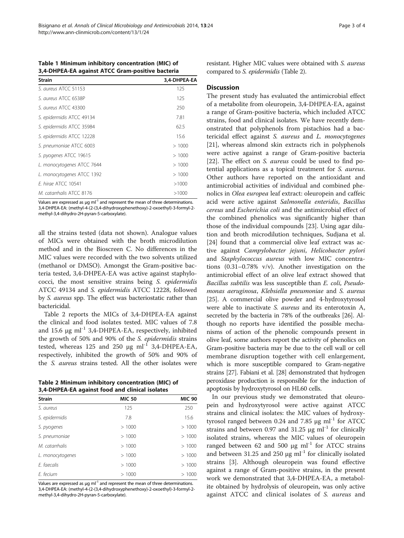<span id="page-2-0"></span>Table 1 Minimum inhibitory concentration (MIC) of 3,4-DHPEA-EA against ATCC Gram-positive bacteria

| <b>Strain</b>              | 3,4-DHPEA-EA |
|----------------------------|--------------|
| S. aureus ATCC 51153       | 125          |
| S. aureus ATCC 6538P       | 125          |
| S. aureus ATCC 43300       | 250          |
| S. epidermidis ATCC 49134  | 7.81         |
| S. epidermidis ATCC 35984  | 62.5         |
| S. epidermidis ATCC 12228  | 15.6         |
| S. pneumoniae ATCC 6003    | >1000        |
| S. pyogenes ATCC 19615     | >1000        |
| L. monocytogenes ATCC 7644 | >1000        |
| L. monocytogenes ATCC 1392 | >1000        |
| <i>F. hirge ATCC 10541</i> | >1000        |
| M. catarrhalis ATCC 8176   | >1000        |

Values are expressed as  $\mu$ g m $^{-1}$  and represent the mean of three determinations. 3,4-DHPEA-EA: (methyl-4-(2-(3,4-dihydroxyphenethoxy)-2-oxoethyl)-3-formyl-2 methyl-3,4-dihydro-2H-pyran-5-carboxylate).

all the strains tested (data not shown). Analogue values of MICs were obtained with the broth microdilution method and in the Bioscreen C. No differences in the MIC values were recorded with the two solvents utilized (methanol or DMSO). Amongst the Gram-positive bacteria tested, 3,4-DHPEA-EA was active against staphylococci, the most sensitive strains being S. epidermidis ATCC 49134 and S. epidermidis ATCC 12228, followed by S. aureus spp. The effect was bacteriostatic rather than bactericidal.

Table 2 reports the MICs of 3,4-DHPEA-EA against the clinical and food isolates tested. MIC values of 7.8 and 15.6  $\mu$ g ml<sup>-1</sup> 3,4-DHPEA-EA, respectively, inhibited the growth of 50% and 90% of the S. epidermidis strains tested, whereas  $125$  and  $250 \text{ µg} \text{ ml}^{-1}$  3,4-DHPEA-EA, respectively, inhibited the growth of 50% and 90% of the S. aureus strains tested. All the other isolates were

Table 2 Minimum inhibitory concentration (MIC) of 3,4-DHPEA-EA against food and clinical isolates

| <b>Strain</b>    | <b>MIC 50</b> | <b>MIC 90</b> |  |
|------------------|---------------|---------------|--|
| S. aureus        | 125           | 250           |  |
| S. epidermidis   | 7.8           | 15.6          |  |
| S. pyogenes      | >1000         | >1000         |  |
| S. pneumoniae    | >1000         | >1000         |  |
| M. catarrhalis   | >1000         | >1000         |  |
| L. monocytogenes | >1000         | >1000         |  |
| E. faecalis      | >1000         | >1000         |  |
| E. fecium        | >1000         | >1000         |  |

Values are expressed as  $\mu$ g ml<sup>-1</sup> and represent the mean of three determinations. 3,4-DHPEA-EA: (methyl-4-(2-(3,4-dihydroxyphenethoxy)-2-oxoethyl)-3-formyl-2 methyl-3,4-dihydro-2H-pyran-5-carboxylate).

resistant. Higher MIC values were obtained with S. aureus compared to S. epidermidis (Table 2).

### **Discussion**

The present study has evaluated the antimicrobial effect of a metabolite from oleuropein, 3,4-DHPEA-EA, against a range of Gram-positive bacteria, which included ATCC strains, food and clinical isolates. We have recently demonstrated that polyphenols from pistachios had a bactericidal effect against S. aureus and L. monocytogenes [[21\]](#page-3-0), whereas almond skin extracts rich in polyphenols were active against a range of Gram-positive bacteria [[22\]](#page-3-0). The effect on S. aureus could be used to find potential applications as a topical treatment for S. aureus. Other authors have reported on the antioxidant and antimicrobial activities of individual and combined phenolics in Olea europea leaf extract: oleuropein and caffeic acid were active against Salmonella enteridis, Bacillus cereus and Escherichia coli and the antimicrobial effect of the combined phenolics was significantly higher than those of the individual compounds [\[23\]](#page-3-0). Using agar dilution and broth microdilution techniques, Sudjana et al. [[24\]](#page-3-0) found that a commercial olive leaf extract was active against Campylobacter jejuni, Helicobacter pylori and Staphylococcus aureus with low MIC concentrations (0.31–0.78% v/v). Another investigation on the antimicrobial effect of an olive leaf extract showed that Bacillus subtilis was less susceptible than E. coli, Pseudomonas aeruginosa, Klebsiella pneumoniae and S. aureus [[25](#page-3-0)]. A commercial olive powder and 4-hydroxytyrosol were able to inactivate S. aureus and its enterotoxin A, secreted by the bacteria in 78% of the outbreaks [[26](#page-3-0)]. Although no reports have identified the possible mechanisms of action of the phenolic compounds present in olive leaf, some authors report the activity of phenolics on Gram-positive bacteria may be due to the cell wall or cell membrane disruption together with cell enlargement, which is more susceptible compared to Gram-negative strains [\[27](#page-3-0)]. Fabiani et al. [\[28\]](#page-3-0) demonstrated that hydrogen peroxidase production is responsible for the induction of apoptosis by hydroxytyrosol on HL60 cells.

In our previous study we demonstrated that oleuropein and hydroxytyrosol were active against ATCC strains and clinical isolates: the MIC values of hydroxytyrosol ranged between 0.24 and 7.85  $\mu$ g ml<sup>-1</sup> for ATCC strains and between 0.97 and 31.25  $\mu$ g ml<sup>-1</sup> for clinically isolated strains, whereas the MIC values of oleuropein ranged between 62 and 500  $\mu$ g ml<sup>-1</sup> for ATCC strains and between 31.25 and 250  $\mu$ g ml<sup>-1</sup> for clinically isolated strains [\[3](#page-3-0)]. Although oleuropein was found effective against a range of Gram-positive strains, in the present work we demonstrated that 3,4-DHPEA-EA, a metabolite obtained by hydrolysis of oleuropein, was only active against ATCC and clinical isolates of S. aureus and